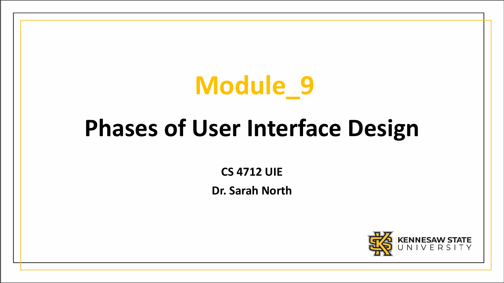# **Module\_9**

# **Phases of User Interface Design**

**CS 4712 UIE**

**Dr. Sarah North**

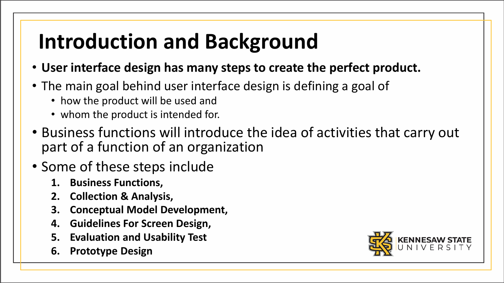# **Introduction and Background**

- **User interface design has many steps to create the perfect product.**
- The main goal behind user interface design is defining a goal of
	- how the product will be used and
	- whom the product is intended for.
- Business functions will introduce the idea of activities that carry out part of a function of an organization
- Some of these steps include
	- **1. Business Functions,**
	- **2. Collection & Analysis,**
	- **3. Conceptual Model Development,**
	- **4. Guidelines For Screen Design,**
	- **5. Evaluation and Usability Test**
	- **6. Prototype Design**

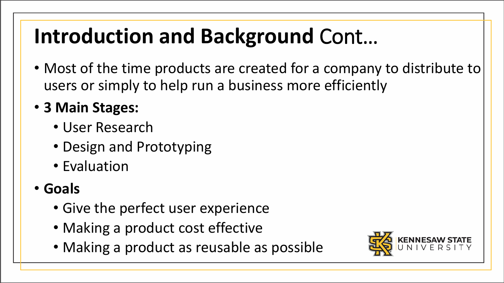# **Introduction and Background** Cont…

- Most of the time products are created for a company to distribute to users or simply to help run a business more efficiently
- **3 Main Stages:**
	- User Research
	- Design and Prototyping
	- Evaluation
- **Goals** 
	- Give the perfect user experience
	- Making a product cost effective
	- Making a product as reusable as possible

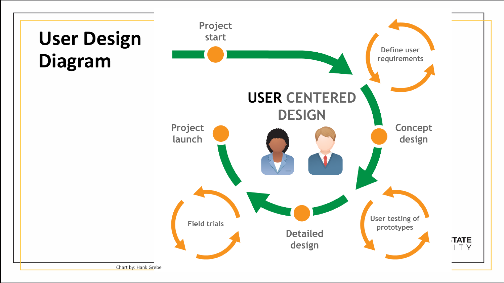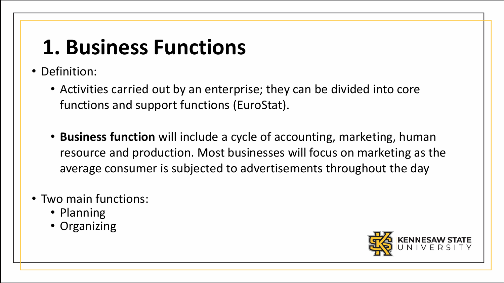### **1. Business Functions**

- Definition:
	- Activities carried out by an enterprise; they can be divided into core functions and support functions (EuroStat).
	- **Business function** will include a cycle of accounting, marketing, human resource and production. Most businesses will focus on marketing as the average consumer is subjected to advertisements throughout the day
- Two main functions:
	- Planning
	- Organizing

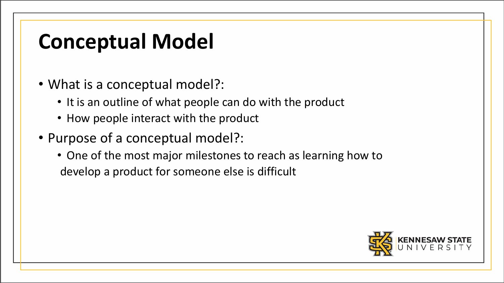#### **Conceptual Model**

- What is a conceptual model?:
	- It is an outline of what people can do with the product
	- How people interact with the product
- Purpose of a conceptual model?:
	- One of the most major milestones to reach as learning how to develop a product for someone else is difficult

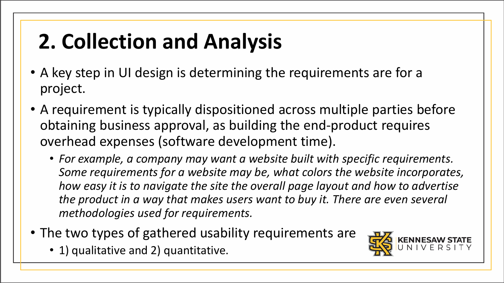# **2. Collection and Analysis**

- A key step in UI design is determining the requirements are for a project.
- A requirement is typically dispositioned across multiple parties before obtaining business approval, as building the end-product requires overhead expenses (software development time).
	- *For example, a company may want a website built with specific requirements. Some requirements for a website may be, what colors the website incorporates, how easy it is to navigate the site the overall page layout and how to advertise the product in a way that makes users want to buy it. There are even several methodologies used for requirements.*
- The two types of gathered usability requirements are
	- 1) qualitative and 2) quantitative.

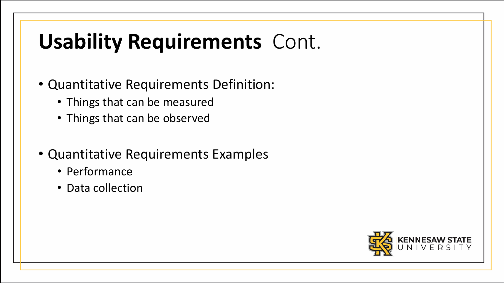# **Usability Requirements** Cont.

- Quantitative Requirements Definition:
	- Things that can be measured
	- Things that can be observed
- Quantitative Requirements Examples
	- Performance
	- Data collection

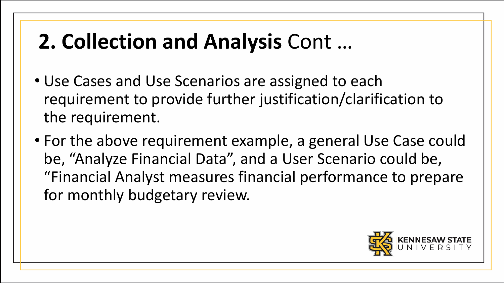# **2. Collection and Analysis** Cont …

- Use Cases and Use Scenarios are assigned to each requirement to provide further justification/clarification to the requirement.
- For the above requirement example, a general Use Case could be, "Analyze Financial Data", and a User Scenario could be, "Financial Analyst measures financial performance to prepare for monthly budgetary review.

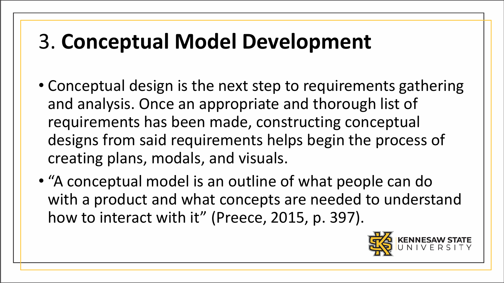# 3. **Conceptual Model Development**

- Conceptual design is the next step to requirements gathering and analysis. Once an appropriate and thorough list of requirements has been made, constructing conceptual designs from said requirements helps begin the process of creating plans, modals, and visuals.
- "A conceptual model is an outline of what people can do with a product and what concepts are needed to understand how to interact with it" (Preece, 2015, p. 397).

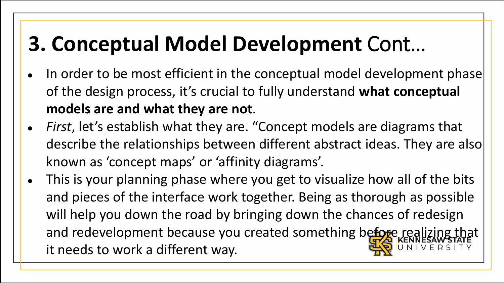# **3. Conceptual Model Development** Cont…

- In order to be most efficient in the conceptual model development phase of the design process, it's crucial to fully understand **what conceptual models are and what they are not**.
- *First*, let's establish what they are. "Concept models are diagrams that describe the relationships between different abstract ideas. They are also known as 'concept maps' or 'affinity diagrams'.
- This is your planning phase where you get to visualize how all of the bits and pieces of the interface work together. Being as thorough as possible will help you down the road by bringing down the chances of redesign and redevelopment because you created something before realizing to it needs to work a different way.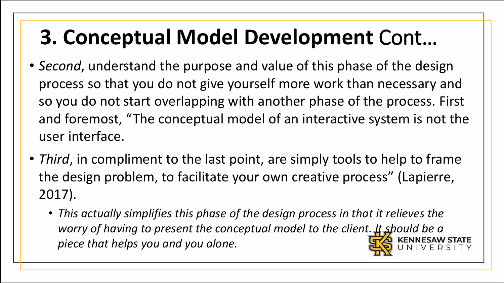# **3. Conceptual Model Development** Cont…

- *Second*, understand the purpose and value of this phase of the design process so that you do not give yourself more work than necessary and so you do not start overlapping with another phase of the process. First and foremost, "The conceptual model of an interactive system is not the user interface.
- *Third*, in compliment to the last point, are simply tools to help to frame the design problem, to facilitate your own creative process" (Lapierre, 2017).
	- *This actually simplifies this phase of the design process in that it relieves the worry of having to present the conceptual model to the client. It should be a piece that helps you and you alone.*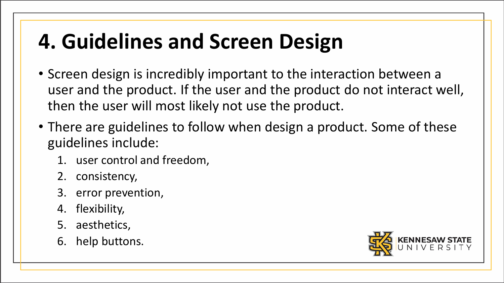# **4. Guidelines and Screen Design**

- Screen design is incredibly important to the interaction between a user and the product. If the user and the product do not interact well, then the user will most likely not use the product.
- There are guidelines to follow when design a product. Some of these guidelines include:
	- 1. user control and freedom,
	- 2. consistency,
	- 3. error prevention,
	- 4. flexibility,
	- 5. aesthetics,
	- 6. help buttons.

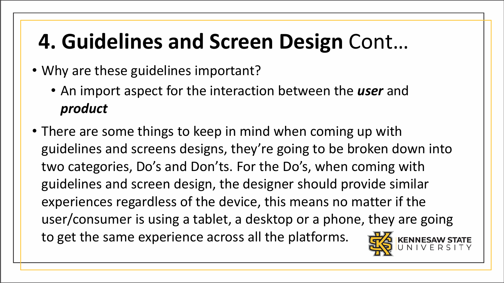# **4. Guidelines and Screen Design** Cont…

- Why are these guidelines important?
	- An import aspect for the interaction between the *user* and *product*
- There are some things to keep in mind when coming up with guidelines and screens designs, they're going to be broken down into two categories, Do's and Don'ts. For the Do's, when coming with guidelines and screen design, the designer should provide similar experiences regardless of the device, this means no matter if the user/consumer is using a tablet, a desktop or a phone, they are going to get the same experience across all the platforms.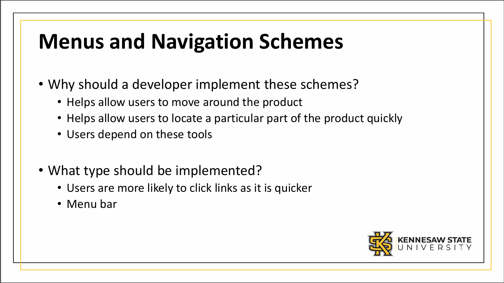#### **Menus and Navigation Schemes**

- Why should a developer implement these schemes?
	- Helps allow users to move around the product
	- Helps allow users to locate a particular part of the product quickly
	- Users depend on these tools
- What type should be implemented?
	- Users are more likely to click links as it is quicker
	- Menu bar

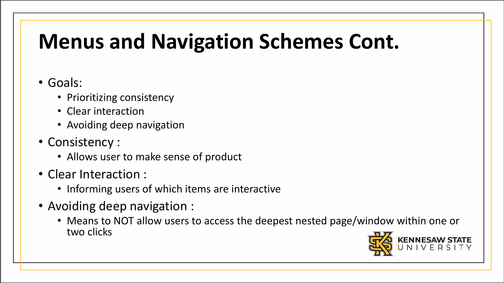# **Menus and Navigation Schemes Cont.**

#### • Goals:

- Prioritizing consistency
- Clear interaction
- Avoiding deep navigation
- Consistency :
	- Allows user to make sense of product
- Clear Interaction :
	- Informing users of which items are interactive
- Avoiding deep navigation :
	- Means to NOT allow users to access the deepest nested page/window within one or two clicks

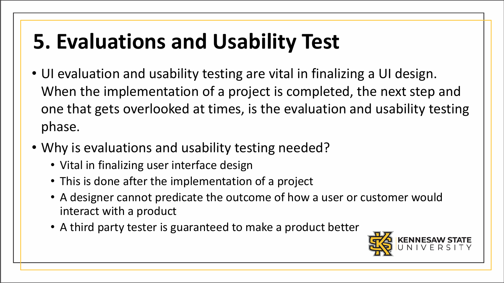- UI evaluation and usability testing are vital in finalizing a UI design. When the implementation of a project is completed, the next step and one that gets overlooked at times, is the evaluation and usability testing phase.
- Why is evaluations and usability testing needed?
	- Vital in finalizing user interface design
	- This is done after the implementation of a project
	- A designer cannot predicate the outcome of how a user or customer would interact with a product
	- A third party tester is guaranteed to make a product better

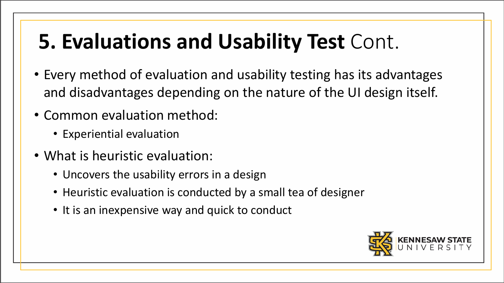- Every method of evaluation and usability testing has its advantages and disadvantages depending on the nature of the UI design itself.
- Common evaluation method:
	- Experiential evaluation
- What is heuristic evaluation:
	- Uncovers the usability errors in a design
	- Heuristic evaluation is conducted by a small tea of designer
	- It is an inexpensive way and quick to conduct

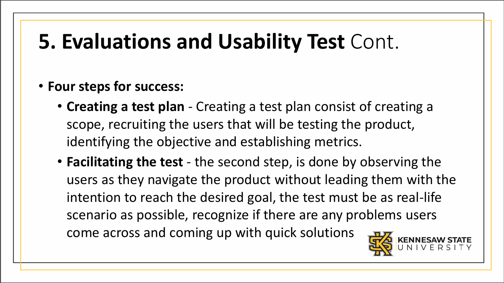#### • **Four steps for success:**

- **Creating a test plan**  Creating a test plan consist of creating a scope, recruiting the users that will be testing the product, identifying the objective and establishing metrics.
- **Facilitating the test**  the second step, is done by observing the users as they navigate the product without leading them with the intention to reach the desired goal, the test must be as real-life scenario as possible, recognize if there are any problems users come across and coming up with quick solutions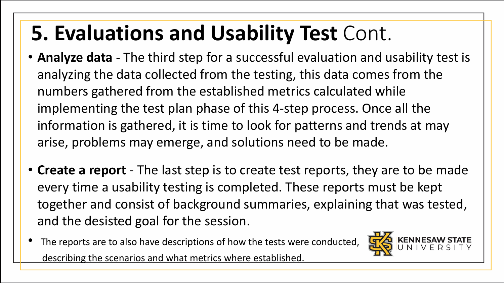- **Analyze data**  The third step for a successful evaluation and usability test is analyzing the data collected from the testing, this data comes from the numbers gathered from the established metrics calculated while implementing the test plan phase of this 4-step process. Once all the information is gathered, it is time to look for patterns and trends at may arise, problems may emerge, and solutions need to be made.
- **Create a report**  The last step is to create test reports, they are to be made every time a usability testing is completed. These reports must be kept together and consist of background summaries, explaining that was tested, and the desisted goal for the session.
- The reports are to also have descriptions of how the tests were conducted, describing the scenarios and what metrics where established.

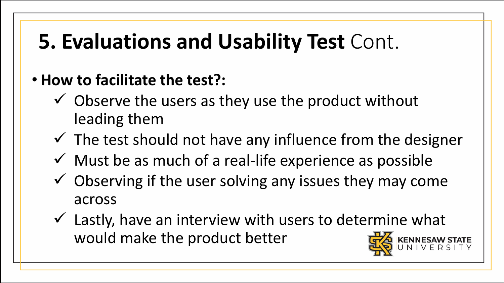- **How to facilitate the test?:** 
	- $\checkmark$  Observe the users as they use the product without leading them
	- $\checkmark$  The test should not have any influence from the designer
	- $\checkmark$  Must be as much of a real-life experience as possible
	- $\checkmark$  Observing if the user solving any issues they may come across
	- $\checkmark$  Lastly, have an interview with users to determine what would make the product better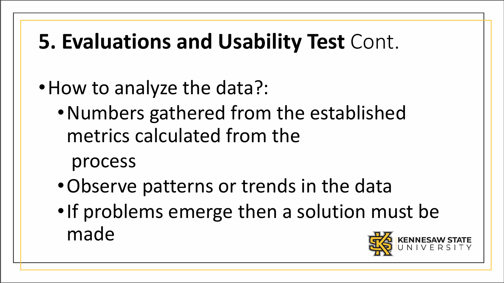- How to analyze the data?:
	- •Numbers gathered from the established metrics calculated from the

process

- •Observe patterns or trends in the data
- •If problems emerge then a solution must be made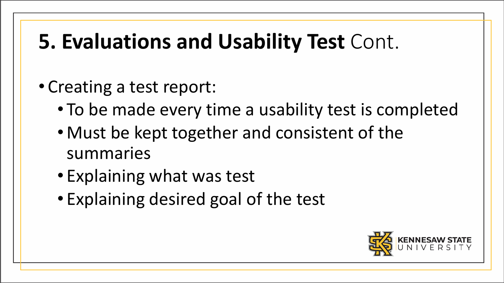#### • Creating a test report:

- To be made every time a usability test is completed
- Must be kept together and consistent of the summaries
- Explaining what was test
- Explaining desired goal of the test

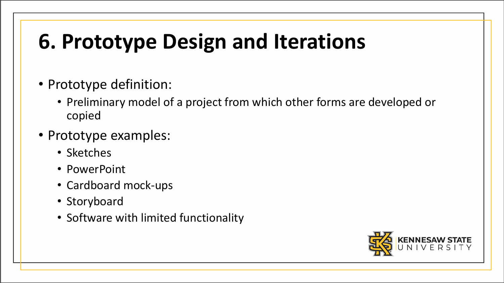# **6. Prototype Design and Iterations**

- Prototype definition:
	- Preliminary model of a project from which other forms are developed or copied
- Prototype examples:
	- Sketches
	- PowerPoint
	- Cardboard mock-ups
	- Storyboard
	- Software with limited functionality

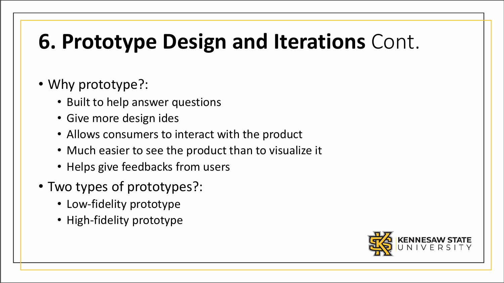# **6. Prototype Design and Iterations** Cont.

#### • Why prototype?:

- Built to help answer questions
- Give more design ides
- Allows consumers to interact with the product
- Much easier to see the product than to visualize it
- Helps give feedbacks from users
- Two types of prototypes?:
	- Low-fidelity prototype
	- High-fidelity prototype

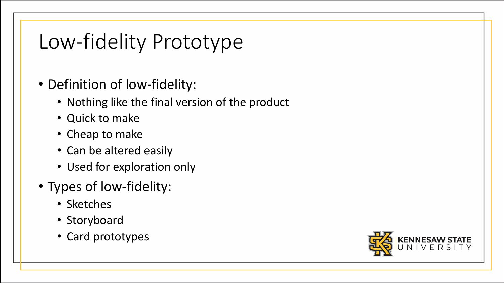#### Low-fidelity Prototype

- Definition of low-fidelity:
	- Nothing like the final version of the product
	- Quick to make
	- Cheap to make
	- Can be altered easily
	- Used for exploration only
- Types of low-fidelity:
	- Sketches
	- Storyboard
	- Card prototypes

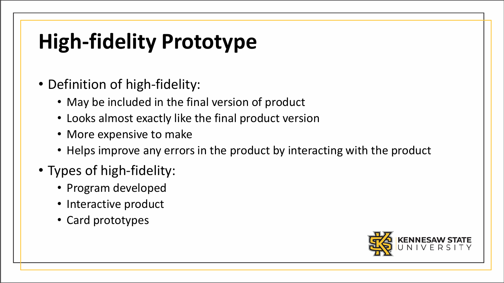# **High-fidelity Prototype**

- Definition of high-fidelity:
	- May be included in the final version of product
	- Looks almost exactly like the final product version
	- More expensive to make
	- Helps improve any errors in the product by interacting with the product
- Types of high-fidelity:
	- Program developed
	- Interactive product
	- Card prototypes

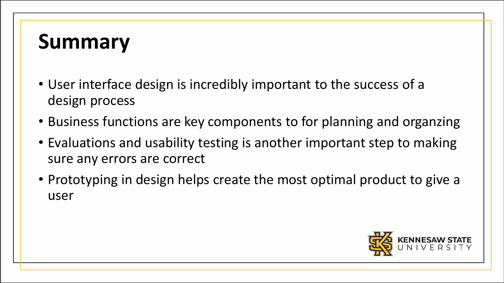#### **Summary**

- User interface design is incredibly important to the success of a design process
- Business functions are key components to for planning and organzing
- Evaluations and usability testing is another important step to making sure any errors are correct
- Prototyping in design helps create the most optimal product to give a user